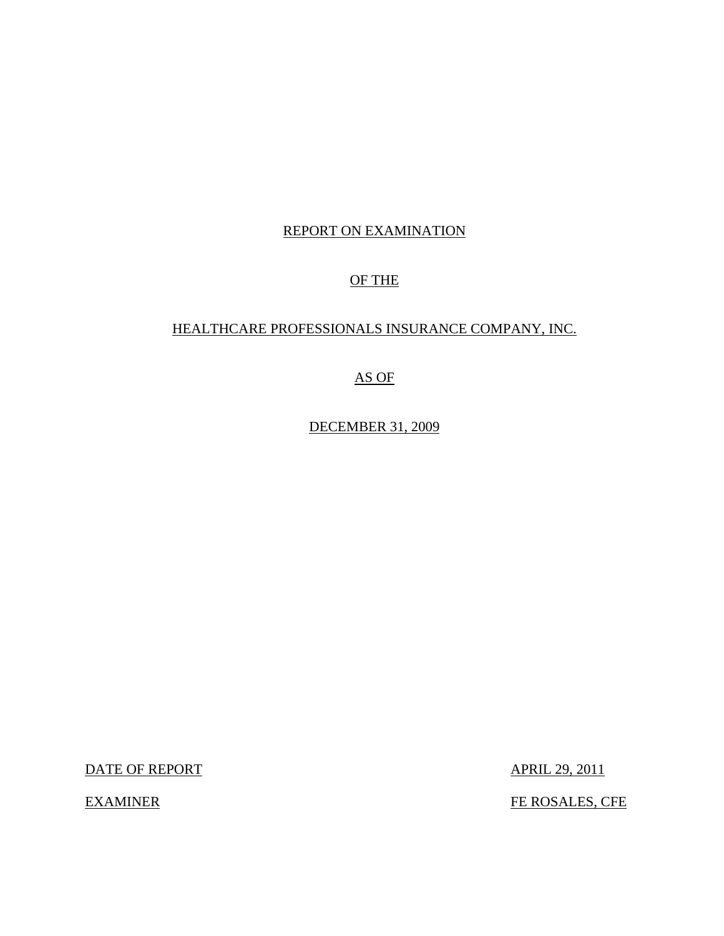## REPORT ON EXAMINATION

## OF THE

## HEALTHCARE PROFESSIONALS INSURANCE COMPANY, INC.

## AS OF

DECEMBER 31, 2009

DATE OF REPORT APRIL 29, 2011

EXAMINER FE ROSALES, CFE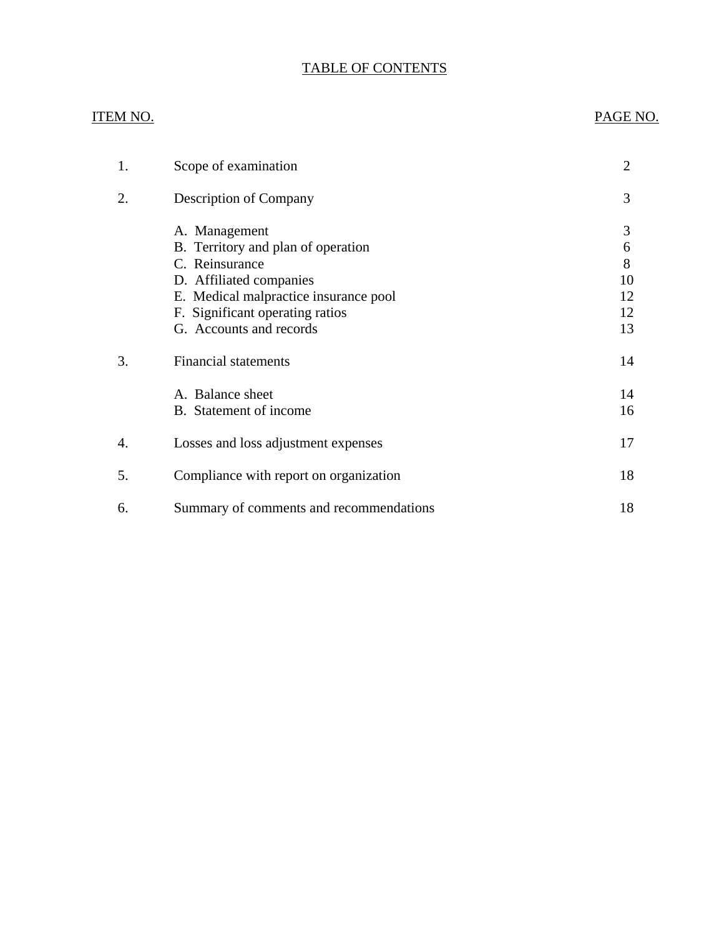## TABLE OF CONTENTS

# ITEM NO. PAGE NO. [1. Scope of examination 2](#page-3-0) [2. Description of Company 3](#page-4-0) [A. Management 3](#page-4-0) [B. Territory and plan of operation 6](#page-7-0) [C. Reinsurance 8](#page-9-0) [D. Affiliated companies 10](#page-11-0) E. Medical malpractice insurance pool 12 F. Significant operating ratios 12 G. Accounts and records 13 3. Financial statements 14 A. Balance sheet 14 B. Statement of income 16 4. Losses and loss adjustment expenses 17 5. Compliance with report on organization 18 6. Summary of comments and recommendations 18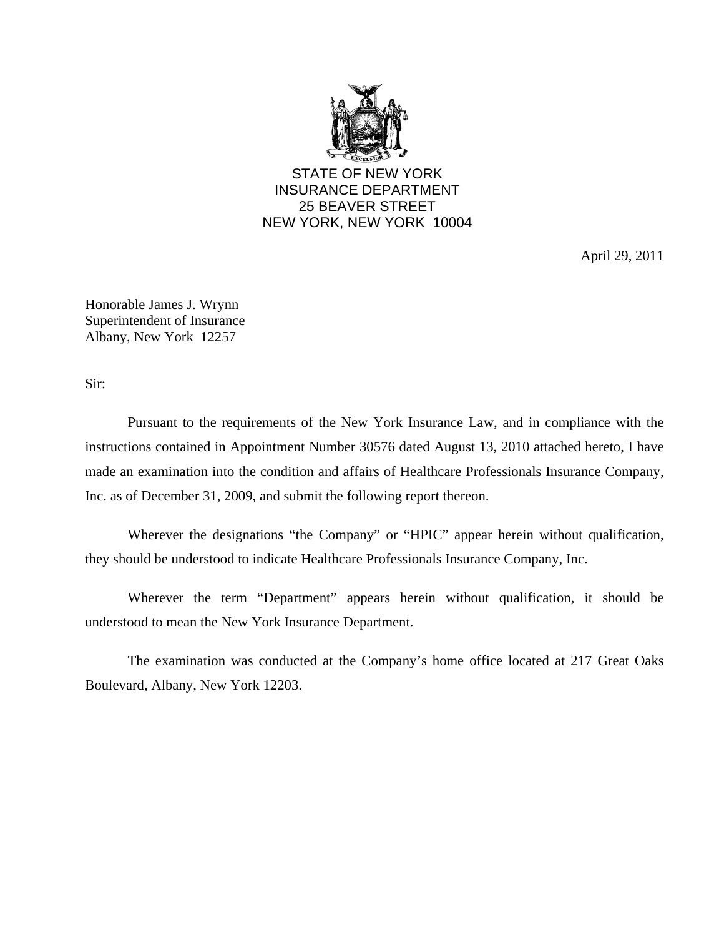

STATE OF NEW YORK INSURANCE DEPARTMENT 25 BEAVER STREET NEW YORK, NEW YORK 10004

April 29, 2011

Honorable James J. Wrynn Superintendent of Insurance Albany, New York 12257

Sir:

Pursuant to the requirements of the New York Insurance Law, and in compliance with the instructions contained in Appointment Number 30576 dated August 13, 2010 attached hereto, I have made an examination into the condition and affairs of Healthcare Professionals Insurance Company, Inc. as of December 31, 2009, and submit the following report thereon.

Wherever the designations "the Company" or "HPIC" appear herein without qualification, they should be understood to indicate Healthcare Professionals Insurance Company, Inc.

Wherever the term "Department" appears herein without qualification, it should be understood to mean the New York Insurance Department.

The examination was conducted at the Company's home office located at 217 Great Oaks Boulevard, Albany, New York 12203.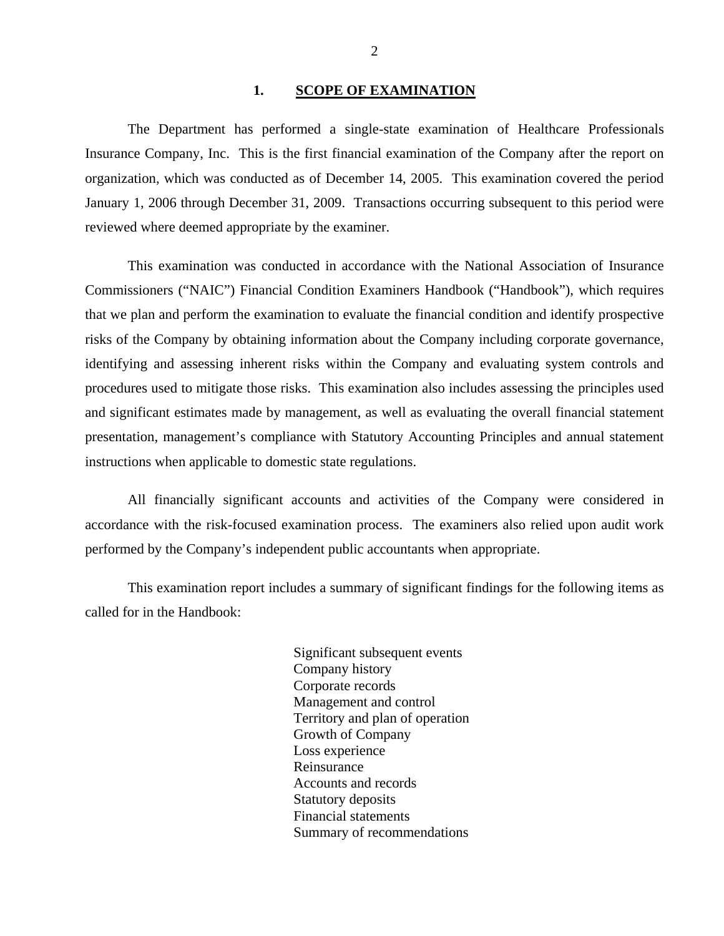#### 1. SCOPE OF EXAMINATION

<span id="page-3-0"></span>The Department has performed a single-state examination of Healthcare Professionals Insurance Company, Inc. This is the first financial examination of the Company after the report on organization, which was conducted as of December 14, 2005. This examination covered the period January 1, 2006 through December 31, 2009. Transactions occurring subsequent to this period were reviewed where deemed appropriate by the examiner.

This examination was conducted in accordance with the National Association of Insurance Commissioners ("NAIC") Financial Condition Examiners Handbook ("Handbook"), which requires that we plan and perform the examination to evaluate the financial condition and identify prospective risks of the Company by obtaining information about the Company including corporate governance, identifying and assessing inherent risks within the Company and evaluating system controls and procedures used to mitigate those risks. This examination also includes assessing the principles used and significant estimates made by management, as well as evaluating the overall financial statement presentation, management's compliance with Statutory Accounting Principles and annual statement instructions when applicable to domestic state regulations.

All financially significant accounts and activities of the Company were considered in accordance with the risk-focused examination process. The examiners also relied upon audit work performed by the Company's independent public accountants when appropriate.

This examination report includes a summary of significant findings for the following items as called for in the Handbook:

> Significant subsequent events Company history Corporate records Management and control Territory and plan of operation Growth of Company Loss experience Reinsurance Accounts and records Statutory deposits Financial statements Summary of recommendations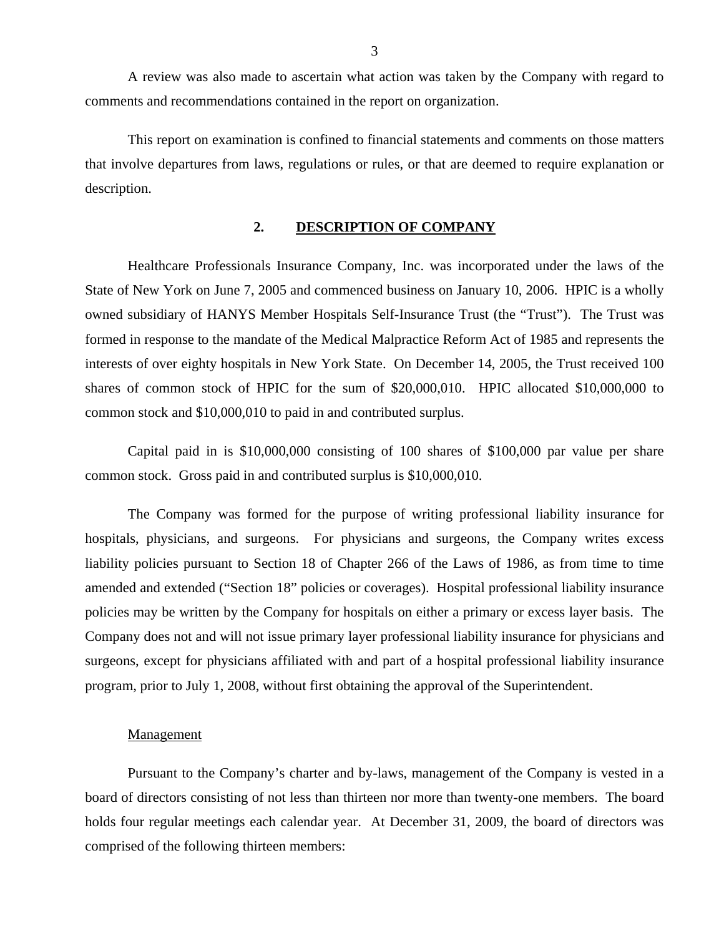<span id="page-4-0"></span>A review was also made to ascertain what action was taken by the Company with regard to comments and recommendations contained in the report on organization.

This report on examination is confined to financial statements and comments on those matters that involve departures from laws, regulations or rules, or that are deemed to require explanation or description.

## **2. DESCRIPTION OF COMPANY**

Healthcare Professionals Insurance Company, Inc. was incorporated under the laws of the State of New York on June 7, 2005 and commenced business on January 10, 2006. HPIC is a wholly owned subsidiary of HANYS Member Hospitals Self-Insurance Trust (the "Trust"). The Trust was formed in response to the mandate of the Medical Malpractice Reform Act of 1985 and represents the interests of over eighty hospitals in New York State. On December 14, 2005, the Trust received 100 shares of common stock of HPIC for the sum of \$20,000,010. HPIC allocated \$10,000,000 to common stock and \$10,000,010 to paid in and contributed surplus.

Capital paid in is \$10,000,000 consisting of 100 shares of \$100,000 par value per share common stock. Gross paid in and contributed surplus is \$10,000,010.

The Company was formed for the purpose of writing professional liability insurance for hospitals, physicians, and surgeons. For physicians and surgeons, the Company writes excess liability policies pursuant to Section 18 of Chapter 266 of the Laws of 1986, as from time to time amended and extended ("Section 18" policies or coverages). Hospital professional liability insurance policies may be written by the Company for hospitals on either a primary or excess layer basis. The Company does not and will not issue primary layer professional liability insurance for physicians and surgeons, except for physicians affiliated with and part of a hospital professional liability insurance program, prior to July 1, 2008, without first obtaining the approval of the Superintendent.

#### **Management**

Pursuant to the Company's charter and by-laws, management of the Company is vested in a board of directors consisting of not less than thirteen nor more than twenty-one members. The board holds four regular meetings each calendar year. At December 31, 2009, the board of directors was comprised of the following thirteen members: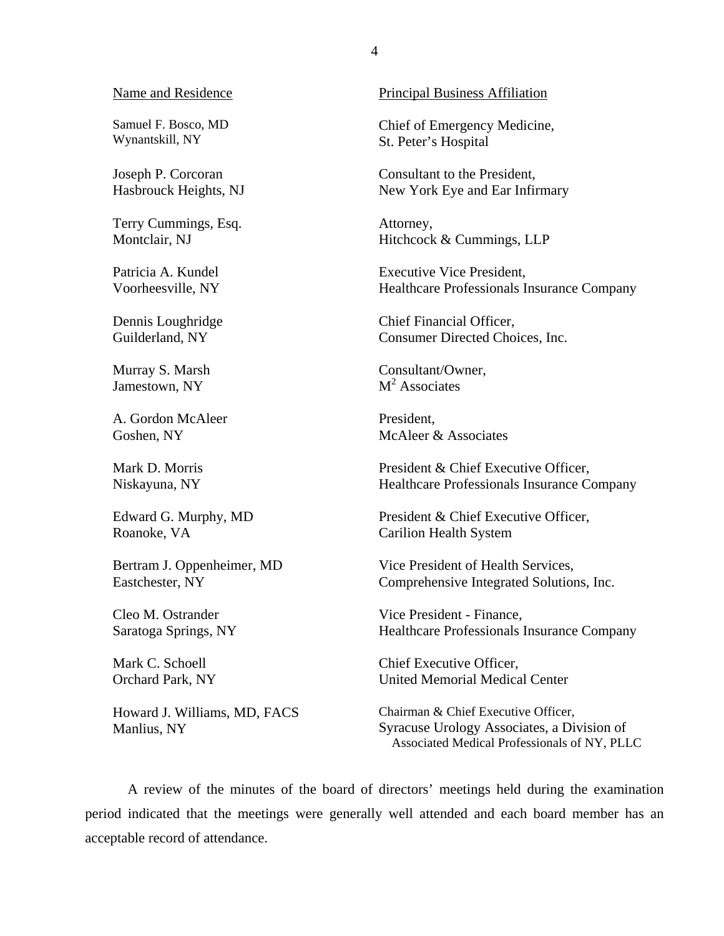#### Name and Residence

Samuel F. Bosco, MD Wynantskill, NY

Joseph P. Corcoran Hasbrouck Heights, NJ

Terry Cummings, Esq. Montclair, NJ

Patricia A. Kundel Voorheesville, NY

Dennis Loughridge Guilderland, NY

Murray S. Marsh Jamestown, NY

A. Gordon McAleer Goshen, NY

Mark D. Morris Niskayuna, NY

Edward G. Murphy, MD Roanoke, VA

Bertram J. Oppenheimer, MD Eastchester, NY

Cleo M. Ostrander Saratoga Springs, NY

Mark C. Schoell Orchard Park, NY

Howard J. Williams, MD, FACS Manlius, NY

Principal Business Affiliation

Chief of Emergency Medicine, St. Peter's Hospital

Consultant to the President, New York Eye and Ear Infirmary

Attorney, Hitchcock & Cummings, LLP

Executive Vice President, Healthcare Professionals Insurance Company

Chief Financial Officer, Consumer Directed Choices, Inc.

Consultant/Owner,  $M^2$  Associates

President, McAleer & Associates

President & Chief Executive Officer, Healthcare Professionals Insurance Company

President & Chief Executive Officer, Carilion Health System

Vice President of Health Services, Comprehensive Integrated Solutions, Inc.

Vice President - Finance, Healthcare Professionals Insurance Company

Chief Executive Officer, United Memorial Medical Center

Chairman & Chief Executive Officer, Syracuse Urology Associates, a Division of Associated Medical Professionals of NY, PLLC

A review of the minutes of the board of directors' meetings held during the examination period indicated that the meetings were generally well attended and each board member has an acceptable record of attendance.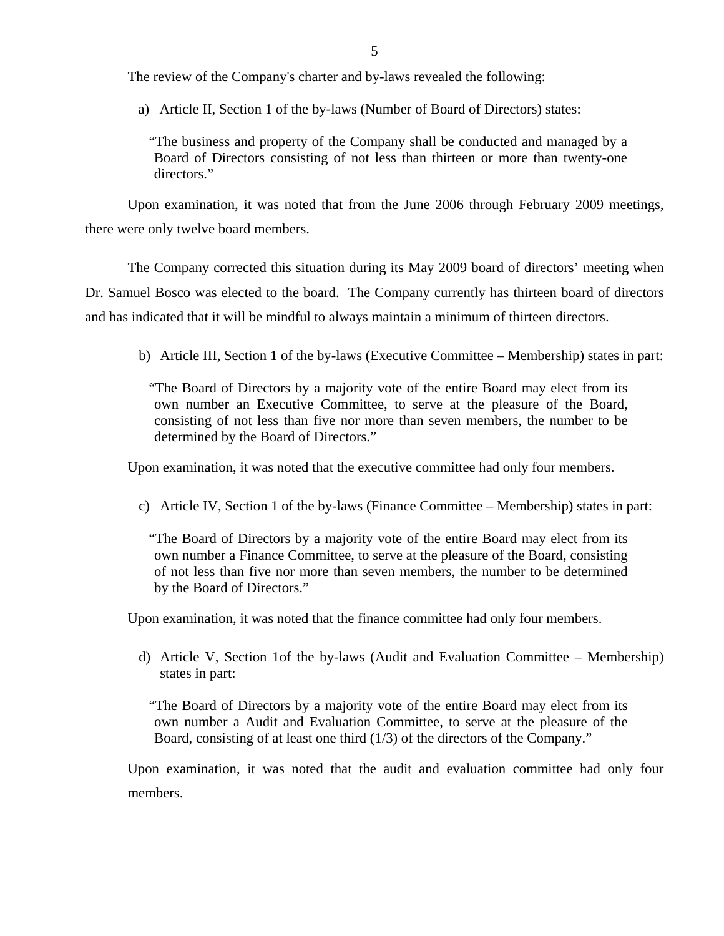5

The review of the Company's charter and by-laws revealed the following:

a) Article II, Section 1 of the by-laws (Number of Board of Directors) states:

"The business and property of the Company shall be conducted and managed by a Board of Directors consisting of not less than thirteen or more than twenty-one directors."

Upon examination, it was noted that from the June 2006 through February 2009 meetings, there were only twelve board members.

The Company corrected this situation during its May 2009 board of directors' meeting when Dr. Samuel Bosco was elected to the board. The Company currently has thirteen board of directors and has indicated that it will be mindful to always maintain a minimum of thirteen directors.

b) Article III, Section 1 of the by-laws (Executive Committee – Membership) states in part:

"The Board of Directors by a majority vote of the entire Board may elect from its own number an Executive Committee, to serve at the pleasure of the Board, consisting of not less than five nor more than seven members, the number to be determined by the Board of Directors."

Upon examination, it was noted that the executive committee had only four members.

c) Article IV, Section 1 of the by-laws (Finance Committee – Membership) states in part:

"The Board of Directors by a majority vote of the entire Board may elect from its own number a Finance Committee, to serve at the pleasure of the Board, consisting of not less than five nor more than seven members, the number to be determined by the Board of Directors."

Upon examination, it was noted that the finance committee had only four members.

d) Article V, Section 1of the by-laws (Audit and Evaluation Committee – Membership) states in part:

"The Board of Directors by a majority vote of the entire Board may elect from its own number a Audit and Evaluation Committee, to serve at the pleasure of the Board, consisting of at least one third (1/3) of the directors of the Company."

Upon examination, it was noted that the audit and evaluation committee had only four members.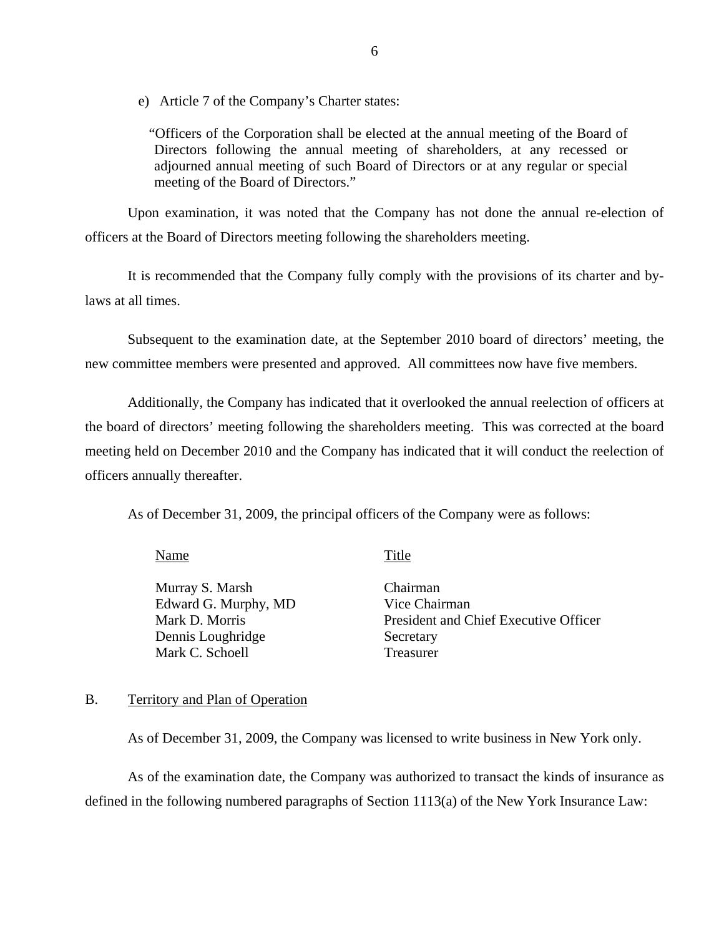<span id="page-7-0"></span>e) Article 7 of the Company's Charter states:

"Officers of the Corporation shall be elected at the annual meeting of the Board of Directors following the annual meeting of shareholders, at any recessed or adjourned annual meeting of such Board of Directors or at any regular or special meeting of the Board of Directors."

Upon examination, it was noted that the Company has not done the annual re-election of officers at the Board of Directors meeting following the shareholders meeting.

It is recommended that the Company fully comply with the provisions of its charter and bylaws at all times.

Subsequent to the examination date, at the September 2010 board of directors' meeting, the new committee members were presented and approved. All committees now have five members.

Additionally, the Company has indicated that it overlooked the annual reelection of officers at the board of directors' meeting following the shareholders meeting. This was corrected at the board meeting held on December 2010 and the Company has indicated that it will conduct the reelection of officers annually thereafter.

As of December 31, 2009, the principal officers of the Company were as follows:

Name Title

Murray S. Marsh Chairman Edward G. Murphy, MD Vice Chairman Dennis Loughridge Secretary Mark C. Schoell Treasurer

Mark D. Morris President and Chief Executive Officer

#### B. Territory and Plan of Operation

As of December 31, 2009, the Company was licensed to write business in New York only.

As of the examination date, the Company was authorized to transact the kinds of insurance as defined in the following numbered paragraphs of Section 1113(a) of the New York Insurance Law: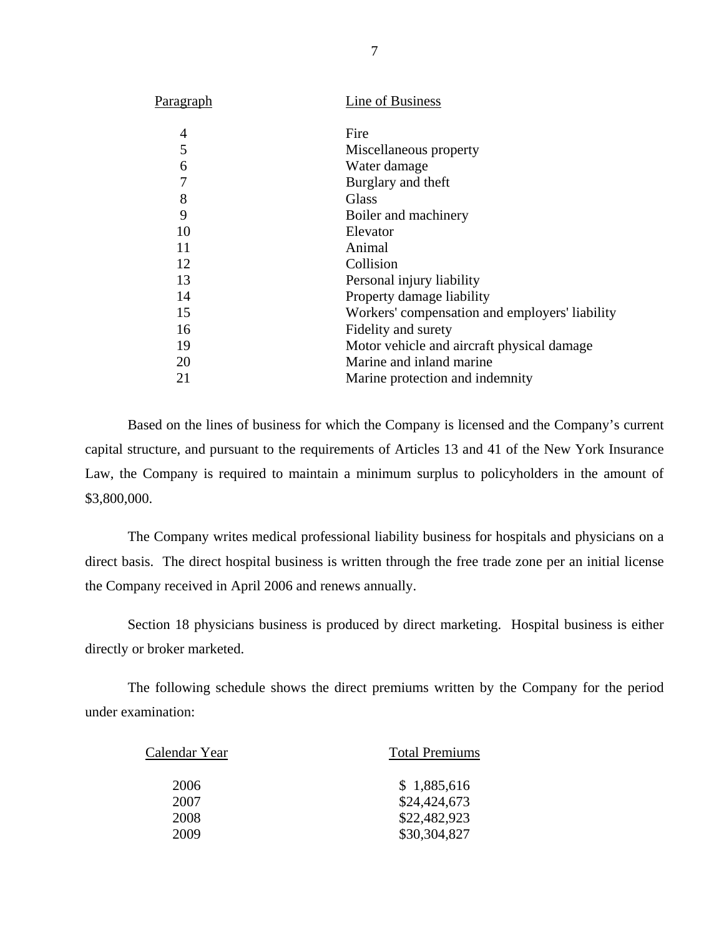| Paragraph | Line of Business                               |
|-----------|------------------------------------------------|
| 4         | Fire                                           |
| 5         | Miscellaneous property                         |
| 6         | Water damage                                   |
| 7         | Burglary and theft                             |
| 8         | <b>Glass</b>                                   |
| 9         | Boiler and machinery                           |
| 10        | Elevator                                       |
| 11        | Animal                                         |
| 12        | Collision                                      |
| 13        | Personal injury liability                      |
| 14        | Property damage liability                      |
| 15        | Workers' compensation and employers' liability |
| 16        | Fidelity and surety                            |
| 19        | Motor vehicle and aircraft physical damage     |
| 20        | Marine and inland marine                       |
| 21        | Marine protection and indemnity                |
|           |                                                |

Based on the lines of business for which the Company is licensed and the Company's current capital structure, and pursuant to the requirements of Articles 13 and 41 of the New York Insurance Law, the Company is required to maintain a minimum surplus to policyholders in the amount of \$3,800,000.

The Company writes medical professional liability business for hospitals and physicians on a direct basis. The direct hospital business is written through the free trade zone per an initial license the Company received in April 2006 and renews annually.

Section 18 physicians business is produced by direct marketing. Hospital business is either directly or broker marketed.

The following schedule shows the direct premiums written by the Company for the period under examination:

| Calendar Year | <b>Total Premiums</b> |
|---------------|-----------------------|
| 2006          | \$1,885,616           |
| 2007          | \$24,424,673          |
| 2008          | \$22,482,923          |
| 2009          | \$30,304,827          |
|               |                       |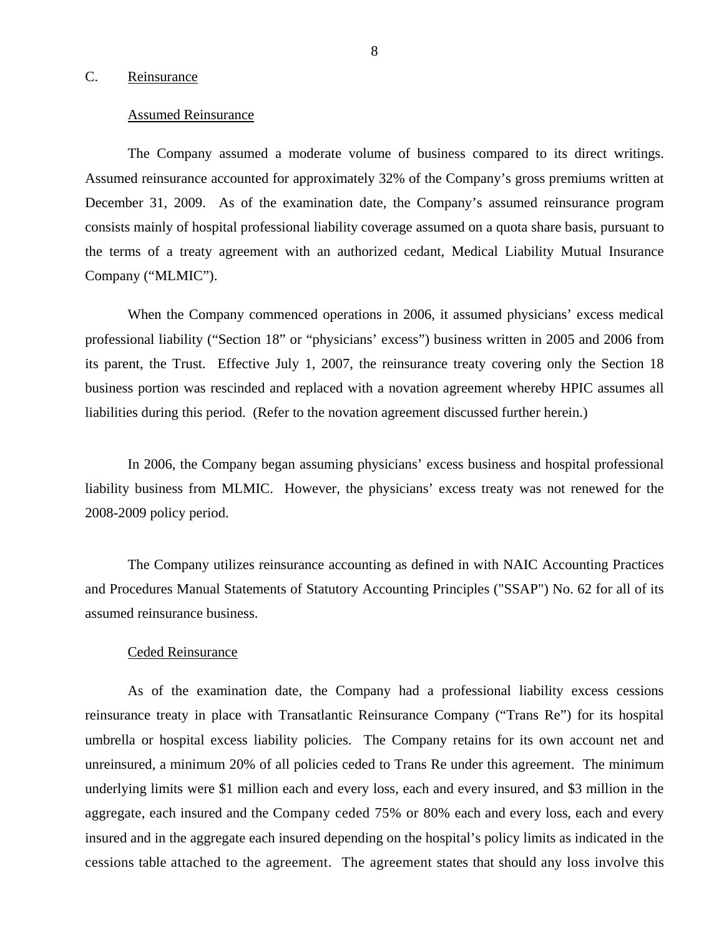#### <span id="page-9-0"></span>C. Reinsurance

#### Assumed Reinsurance

The Company assumed a moderate volume of business compared to its direct writings. Assumed reinsurance accounted for approximately 32% of the Company's gross premiums written at December 31, 2009. As of the examination date, the Company's assumed reinsurance program consists mainly of hospital professional liability coverage assumed on a quota share basis, pursuant to the terms of a treaty agreement with an authorized cedant, Medical Liability Mutual Insurance Company ("MLMIC").

When the Company commenced operations in 2006, it assumed physicians' excess medical professional liability ("Section 18" or "physicians' excess") business written in 2005 and 2006 from its parent, the Trust. Effective July 1, 2007, the reinsurance treaty covering only the Section 18 business portion was rescinded and replaced with a novation agreement whereby HPIC assumes all liabilities during this period. (Refer to the novation agreement discussed further herein.)

In 2006, the Company began assuming physicians' excess business and hospital professional liability business from MLMIC. However, the physicians' excess treaty was not renewed for the 2008-2009 policy period.

The Company utilizes reinsurance accounting as defined in with NAIC Accounting Practices and Procedures Manual Statements of Statutory Accounting Principles ("SSAP") No. 62 for all of its assumed reinsurance business.

#### Ceded Reinsurance

As of the examination date, the Company had a professional liability excess cessions reinsurance treaty in place with Transatlantic Reinsurance Company ("Trans Re") for its hospital umbrella or hospital excess liability policies. The Company retains for its own account net and unreinsured, a minimum 20% of all policies ceded to Trans Re under this agreement. The minimum underlying limits were \$1 million each and every loss, each and every insured, and \$3 million in the aggregate, each insured and the Company ceded 75% or 80% each and every loss, each and every insured and in the aggregate each insured depending on the hospital's policy limits as indicated in the cessions table attached to the agreement. The agreement states that should any loss involve this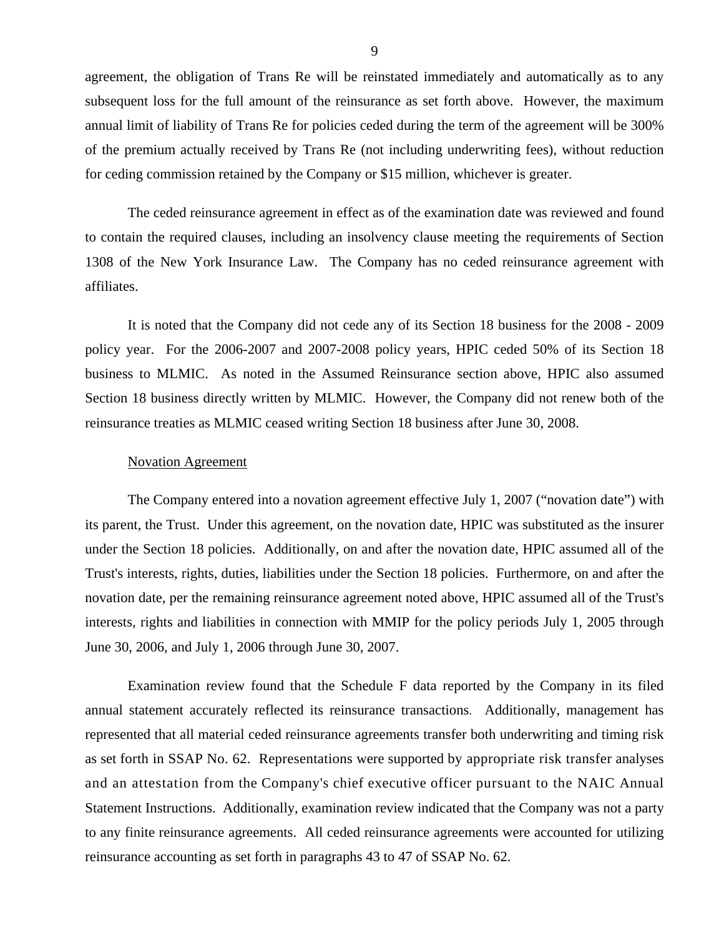agreement, the obligation of Trans Re will be reinstated immediately and automatically as to any subsequent loss for the full amount of the reinsurance as set forth above. However, the maximum annual limit of liability of Trans Re for policies ceded during the term of the agreement will be 300% of the premium actually received by Trans Re (not including underwriting fees), without reduction for ceding commission retained by the Company or \$15 million, whichever is greater.

The ceded reinsurance agreement in effect as of the examination date was reviewed and found to contain the required clauses, including an insolvency clause meeting the requirements of Section 1308 of the New York Insurance Law. The Company has no ceded reinsurance agreement with affiliates.

It is noted that the Company did not cede any of its Section 18 business for the 2008 - 2009 policy year. For the 2006-2007 and 2007-2008 policy years, HPIC ceded 50% of its Section 18 business to MLMIC. As noted in the Assumed Reinsurance section above, HPIC also assumed Section 18 business directly written by MLMIC. However, the Company did not renew both of the reinsurance treaties as MLMIC ceased writing Section 18 business after June 30, 2008.

#### Novation Agreement

The Company entered into a novation agreement effective July 1, 2007 ("novation date") with its parent, the Trust. Under this agreement, on the novation date, HPIC was substituted as the insurer under the Section 18 policies. Additionally, on and after the novation date, HPIC assumed all of the Trust's interests, rights, duties, liabilities under the Section 18 policies. Furthermore, on and after the novation date, per the remaining reinsurance agreement noted above, HPIC assumed all of the Trust's interests, rights and liabilities in connection with MMIP for the policy periods July 1, 2005 through June 30, 2006, and July 1, 2006 through June 30, 2007.

Examination review found that the Schedule F data reported by the Company in its filed annual statement accurately reflected its reinsurance transactions. Additionally, management has represented that all material ceded reinsurance agreements transfer both underwriting and timing risk as set forth in SSAP No. 62. Representations were supported by appropriate risk transfer analyses and an attestation from the Company's chief executive officer pursuant to the NAIC Annual Statement Instructions. Additionally, examination review indicated that the Company was not a party to any finite reinsurance agreements. All ceded reinsurance agreements were accounted for utilizing reinsurance accounting as set forth in paragraphs 43 to 47 of SSAP No. 62.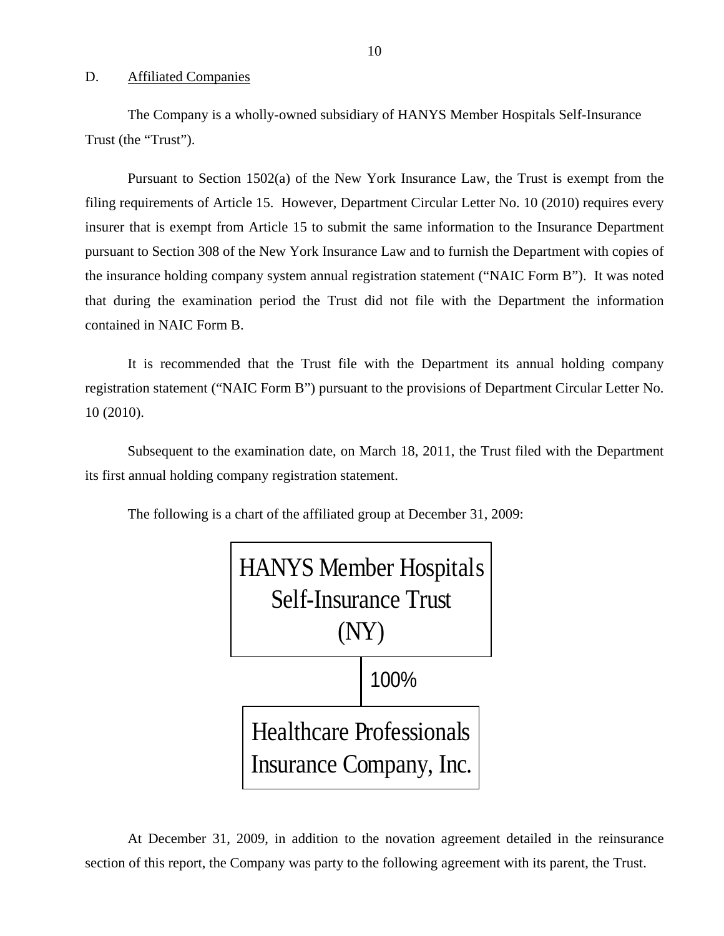## <span id="page-11-0"></span>D. Affiliated Companies

The Company is a wholly-owned subsidiary of HANYS Member Hospitals Self-Insurance Trust (the "Trust").

Pursuant to Section 1502(a) of the New York Insurance Law, the Trust is exempt from the filing requirements of Article 15. However, Department Circular Letter No. 10 (2010) requires every insurer that is exempt from Article 15 to submit the same information to the Insurance Department pursuant to Section 308 of the New York Insurance Law and to furnish the Department with copies of the insurance holding company system annual registration statement ("NAIC Form B"). It was noted that during the examination period the Trust did not file with the Department the information contained in NAIC Form B.

It is recommended that the Trust file with the Department its annual holding company registration statement ("NAIC Form B") pursuant to the provisions of Department Circular Letter No. 10 (2010).

Subsequent to the examination date, on March 18, 2011, the Trust filed with the Department its first annual holding company registration statement.

The following is a chart of the affiliated group at December 31, 2009:



At December 31, 2009, in addition to the novation agreement detailed in the reinsurance section of this report, the Company was party to the following agreement with its parent, the Trust.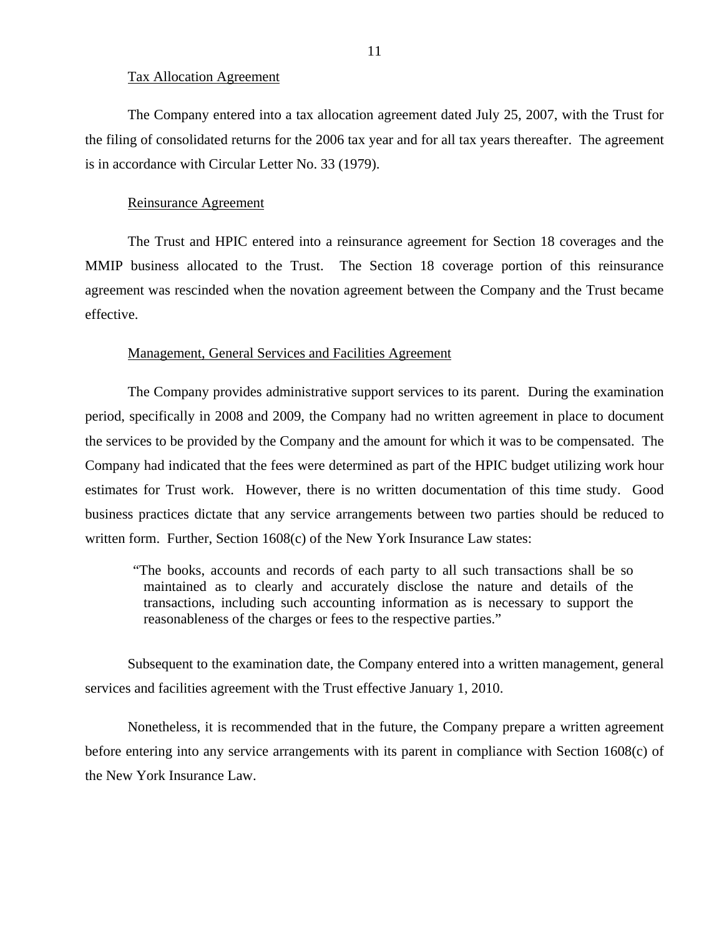#### Tax Allocation Agreement

The Company entered into a tax allocation agreement dated July 25, 2007, with the Trust for the filing of consolidated returns for the 2006 tax year and for all tax years thereafter. The agreement is in accordance with Circular Letter No. 33 (1979).

#### Reinsurance Agreement

The Trust and HPIC entered into a reinsurance agreement for Section 18 coverages and the MMIP business allocated to the Trust. The Section 18 coverage portion of this reinsurance agreement was rescinded when the novation agreement between the Company and the Trust became effective.

#### Management, General Services and Facilities Agreement

The Company provides administrative support services to its parent. During the examination period, specifically in 2008 and 2009, the Company had no written agreement in place to document the services to be provided by the Company and the amount for which it was to be compensated. The Company had indicated that the fees were determined as part of the HPIC budget utilizing work hour estimates for Trust work. However, there is no written documentation of this time study. Good business practices dictate that any service arrangements between two parties should be reduced to written form. Further, Section 1608(c) of the New York Insurance Law states:

"The books, accounts and records of each party to all such transactions shall be so maintained as to clearly and accurately disclose the nature and details of the transactions, including such accounting information as is necessary to support the reasonableness of the charges or fees to the respective parties."

Subsequent to the examination date, the Company entered into a written management, general services and facilities agreement with the Trust effective January 1, 2010.

Nonetheless, it is recommended that in the future, the Company prepare a written agreement before entering into any service arrangements with its parent in compliance with Section 1608(c) of the New York Insurance Law.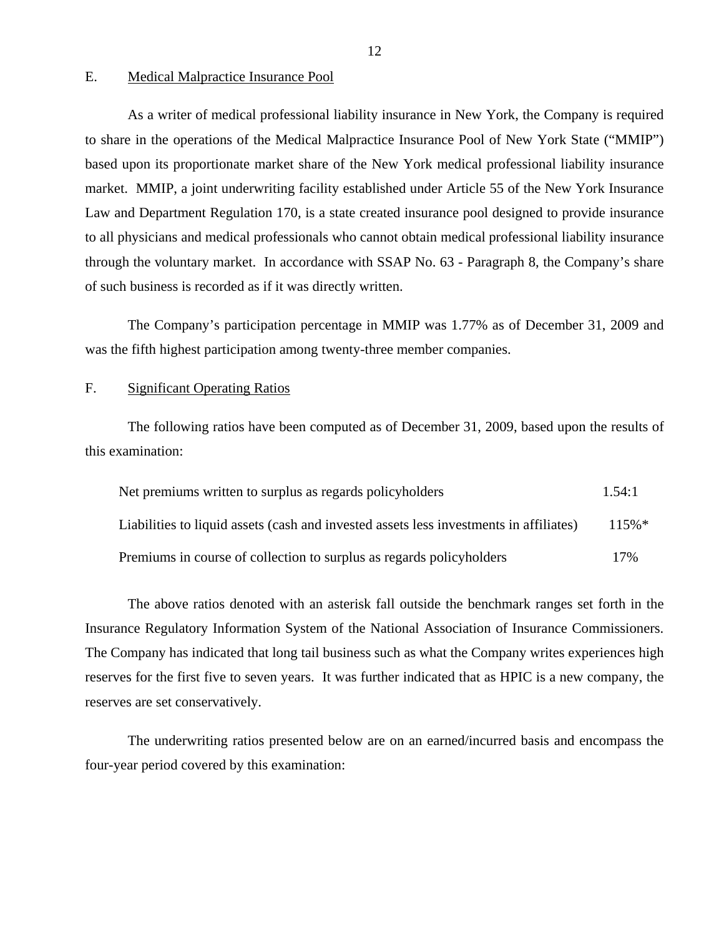#### E. Medical Malpractice Insurance Pool

As a writer of medical professional liability insurance in New York, the Company is required to share in the operations of the Medical Malpractice Insurance Pool of New York State ("MMIP") based upon its proportionate market share of the New York medical professional liability insurance market. MMIP, a joint underwriting facility established under Article 55 of the New York Insurance Law and Department Regulation 170, is a state created insurance pool designed to provide insurance to all physicians and medical professionals who cannot obtain medical professional liability insurance through the voluntary market. In accordance with SSAP No. 63 - Paragraph 8, the Company's share of such business is recorded as if it was directly written.

The Company's participation percentage in MMIP was 1.77% as of December 31, 2009 and was the fifth highest participation among twenty-three member companies.

#### F. Significant Operating Ratios

The following ratios have been computed as of December 31, 2009, based upon the results of this examination:

| Net premiums written to surplus as regards policyholders                               |          |
|----------------------------------------------------------------------------------------|----------|
| Liabilities to liquid assets (cash and invested assets less investments in affiliates) | $115\%*$ |
| Premiums in course of collection to surplus as regards policyholders                   | 17%      |

The above ratios denoted with an asterisk fall outside the benchmark ranges set forth in the Insurance Regulatory Information System of the National Association of Insurance Commissioners. The Company has indicated that long tail business such as what the Company writes experiences high reserves for the first five to seven years. It was further indicated that as HPIC is a new company, the reserves are set conservatively.

The underwriting ratios presented below are on an earned/incurred basis and encompass the four-year period covered by this examination: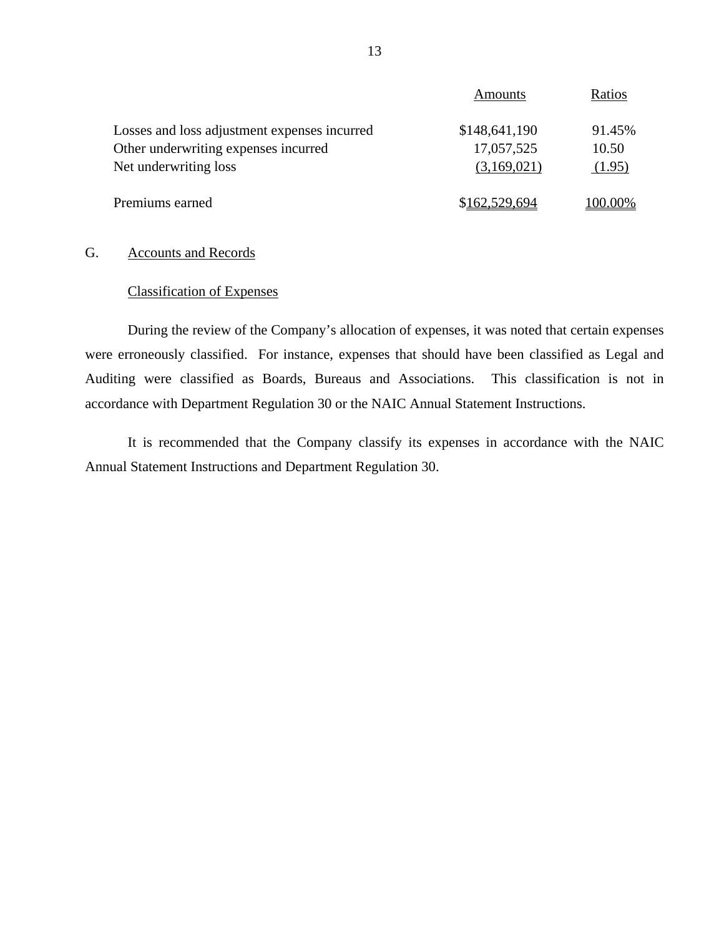|                                                                                                               | Amounts                                    | Ratios                    |
|---------------------------------------------------------------------------------------------------------------|--------------------------------------------|---------------------------|
| Losses and loss adjustment expenses incurred<br>Other underwriting expenses incurred<br>Net underwriting loss | \$148,641,190<br>17,057,525<br>(3,169,021) | 91.45%<br>10.50<br>(1.95) |
| Premiums earned                                                                                               | \$162,529,694                              | 100.00%                   |

## G. Accounts and Records

#### Classification of Expenses

During the review of the Company's allocation of expenses, it was noted that certain expenses were erroneously classified. For instance, expenses that should have been classified as Legal and Auditing were classified as Boards, Bureaus and Associations. This classification is not in accordance with Department Regulation 30 or the NAIC Annual Statement Instructions.

It is recommended that the Company classify its expenses in accordance with the NAIC Annual Statement Instructions and Department Regulation 30.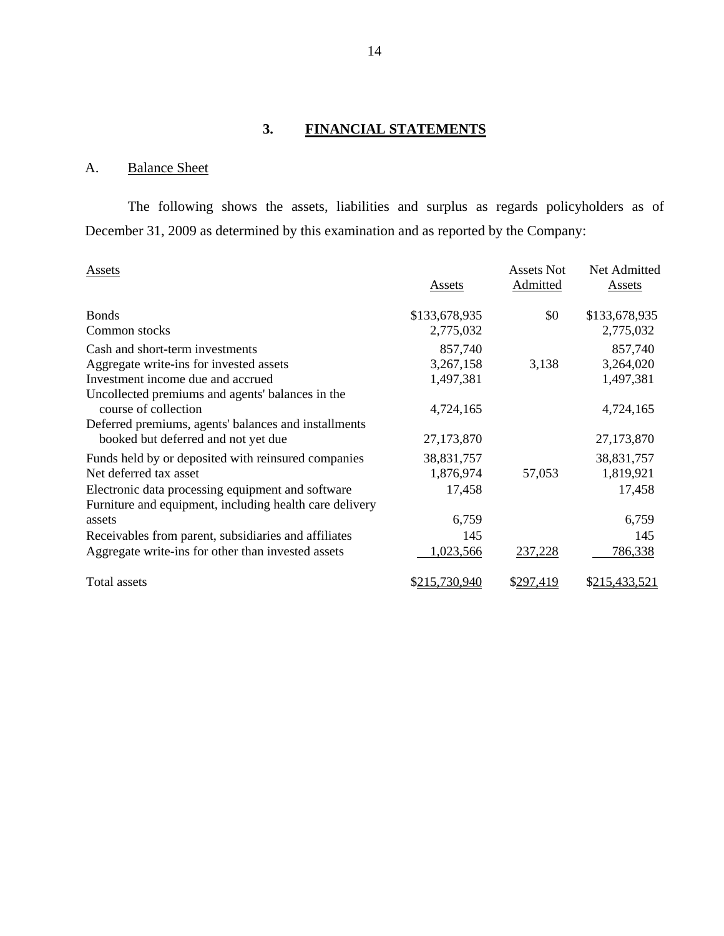## **3. FINANCIAL STATEMENTS**

## A. Balance Sheet

The following shows the assets, liabilities and surplus as regards policyholders as of December 31, 2009 as determined by this examination and as reported by the Company:

| Assets                                                                                                       | Assets        | <b>Assets Not</b><br>Admitted | Net Admitted<br>Assets |
|--------------------------------------------------------------------------------------------------------------|---------------|-------------------------------|------------------------|
| <b>Bonds</b>                                                                                                 | \$133,678,935 | \$0                           | \$133,678,935          |
| Common stocks                                                                                                | 2,775,032     |                               | 2,775,032              |
| Cash and short-term investments                                                                              | 857,740       |                               | 857,740                |
| Aggregate write-ins for invested assets                                                                      | 3,267,158     | 3,138                         | 3,264,020              |
| Investment income due and accrued                                                                            | 1,497,381     |                               | 1,497,381              |
| Uncollected premiums and agents' balances in the<br>course of collection                                     | 4,724,165     |                               | 4,724,165              |
| Deferred premiums, agents' balances and installments<br>booked but deferred and not yet due                  | 27,173,870    |                               | 27,173,870             |
| Funds held by or deposited with reinsured companies                                                          | 38,831,757    |                               | 38,831,757             |
| Net deferred tax asset                                                                                       | 1,876,974     | 57,053                        | 1,819,921              |
| Electronic data processing equipment and software<br>Furniture and equipment, including health care delivery | 17,458        |                               | 17,458                 |
| assets                                                                                                       | 6,759         |                               | 6,759                  |
| Receivables from parent, subsidiaries and affiliates                                                         | 145           |                               | 145                    |
| Aggregate write-ins for other than invested assets                                                           | 1,023,566     | 237,228                       | 786,338                |
| Total assets                                                                                                 | \$215,730,940 | \$297,419                     | \$215,433,521          |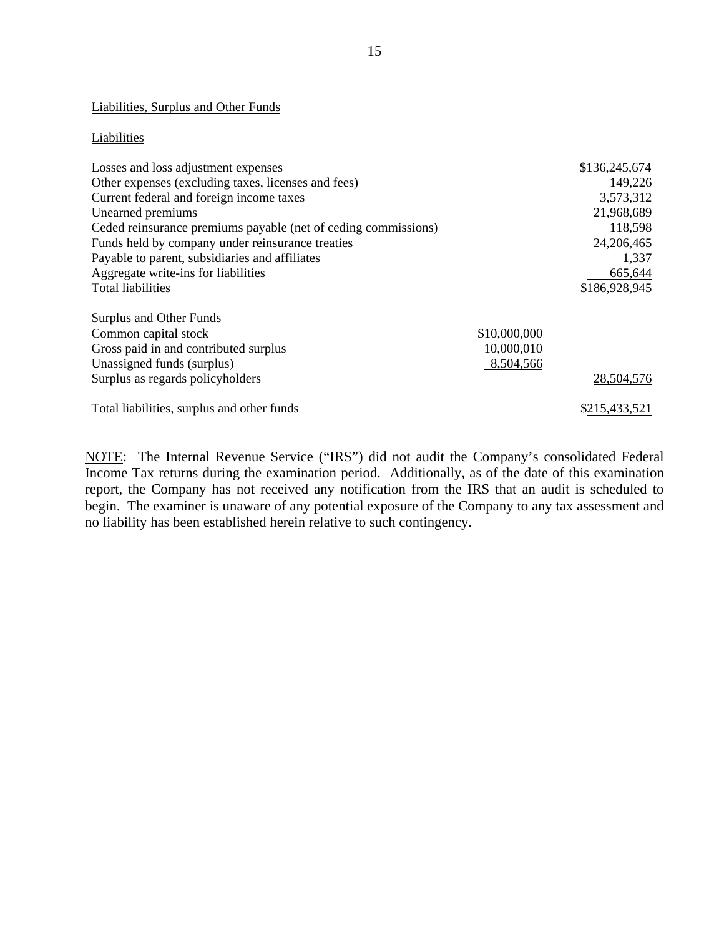#### Liabilities, Surplus and Other Funds

#### **Liabilities**

| Losses and loss adjustment expenses                                                                                                                        |                                         | \$136,245,674 |
|------------------------------------------------------------------------------------------------------------------------------------------------------------|-----------------------------------------|---------------|
| Other expenses (excluding taxes, licenses and fees)                                                                                                        |                                         | 149,226       |
| Current federal and foreign income taxes                                                                                                                   |                                         | 3,573,312     |
| Unearned premiums                                                                                                                                          |                                         | 21,968,689    |
| Ceded reinsurance premiums payable (net of ceding commissions)                                                                                             |                                         | 118,598       |
| Funds held by company under reinsurance treaties                                                                                                           |                                         | 24,206,465    |
| Payable to parent, subsidiaries and affiliates                                                                                                             |                                         | 1,337         |
| Aggregate write-ins for liabilities                                                                                                                        |                                         | 665,644       |
| <b>Total liabilities</b>                                                                                                                                   |                                         | \$186,928,945 |
| Surplus and Other Funds<br>Common capital stock<br>Gross paid in and contributed surplus<br>Unassigned funds (surplus)<br>Surplus as regards policyholders | \$10,000,000<br>10,000,010<br>8,504,566 | 28,504,576    |
|                                                                                                                                                            |                                         |               |
| Total liabilities, surplus and other funds                                                                                                                 |                                         | \$215,433,521 |

NOTE: The Internal Revenue Service ("IRS") did not audit the Company's consolidated Federal Income Tax returns during the examination period. Additionally, as of the date of this examination report, the Company has not received any notification from the IRS that an audit is scheduled to begin. The examiner is unaware of any potential exposure of the Company to any tax assessment and no liability has been established herein relative to such contingency.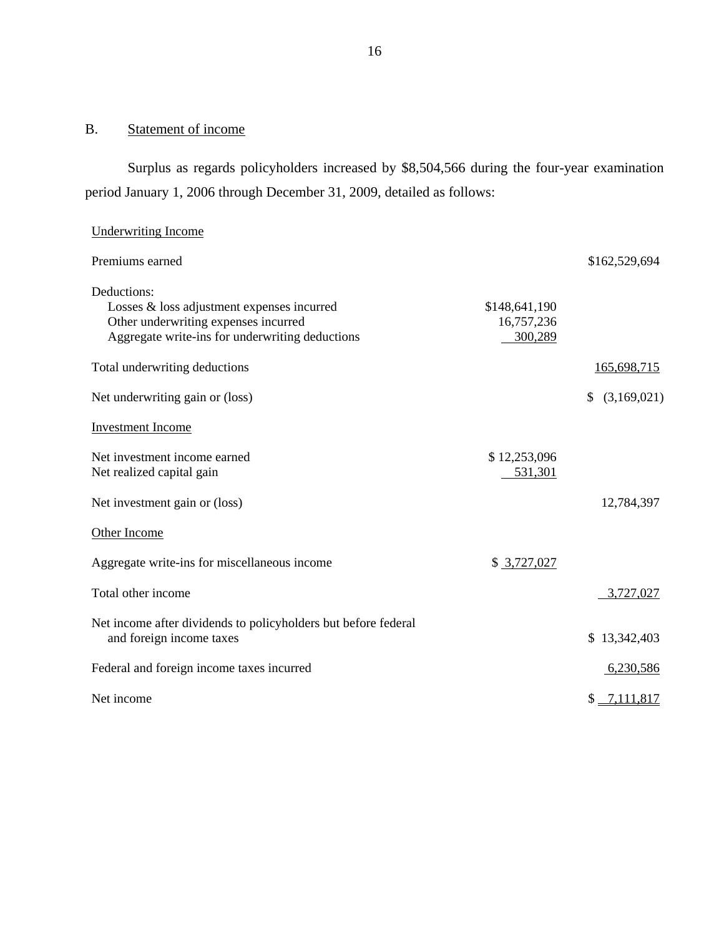## B. Statement of income

Surplus as regards policyholders increased by \$8,504,566 during the four-year examination period January 1, 2006 through December 31, 2009, detailed as follows:

| <b>Underwriting Income</b>                                                                                                                           |                                        |                   |
|------------------------------------------------------------------------------------------------------------------------------------------------------|----------------------------------------|-------------------|
| Premiums earned                                                                                                                                      |                                        | \$162,529,694     |
| Deductions:<br>Losses & loss adjustment expenses incurred<br>Other underwriting expenses incurred<br>Aggregate write-ins for underwriting deductions | \$148,641,190<br>16,757,236<br>300,289 |                   |
| Total underwriting deductions                                                                                                                        |                                        | 165,698,715       |
| Net underwriting gain or (loss)                                                                                                                      |                                        | (3,169,021)<br>S. |
| <b>Investment Income</b>                                                                                                                             |                                        |                   |
| Net investment income earned<br>Net realized capital gain                                                                                            | \$12,253,096<br>531,301                |                   |
| Net investment gain or (loss)                                                                                                                        |                                        | 12,784,397        |
| Other Income                                                                                                                                         |                                        |                   |
| Aggregate write-ins for miscellaneous income                                                                                                         | \$3,727,027                            |                   |
| Total other income                                                                                                                                   |                                        | 3,727,027         |
| Net income after dividends to policyholders but before federal<br>and foreign income taxes                                                           |                                        | \$13,342,403      |
| Federal and foreign income taxes incurred                                                                                                            |                                        | 6,230,586         |
| Net income                                                                                                                                           |                                        | $$ -7,111,817$    |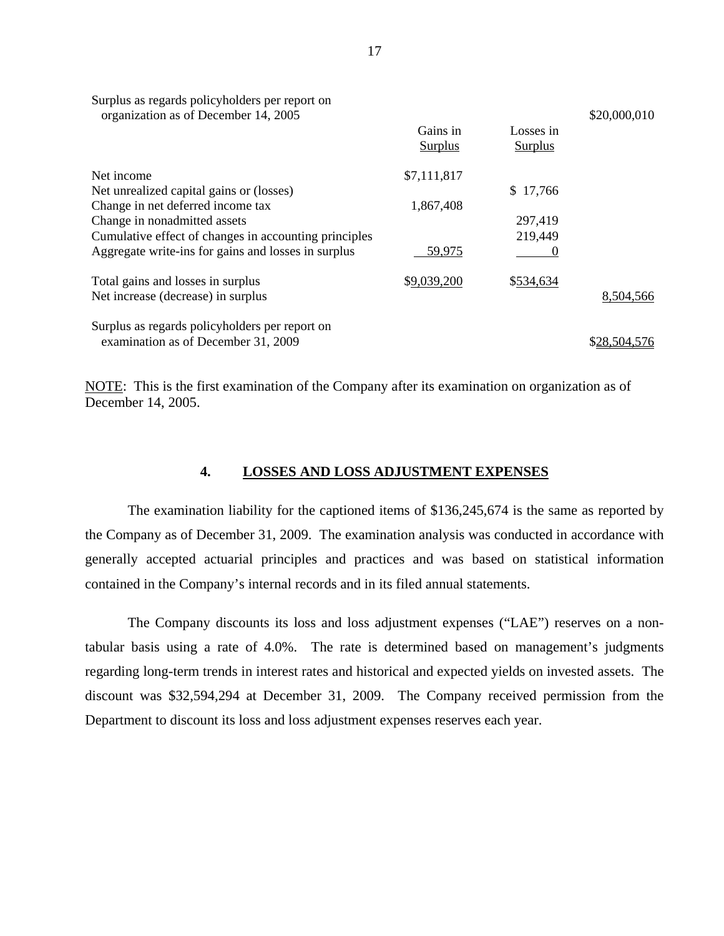| Surplus as regards policyholders per report on<br>organization as of December 14, 2005 |                            |                             | \$20,000,010 |
|----------------------------------------------------------------------------------------|----------------------------|-----------------------------|--------------|
|                                                                                        | Gains in<br><b>Surplus</b> | Losses in<br><b>Surplus</b> |              |
| Net income                                                                             | \$7,111,817                |                             |              |
| Net unrealized capital gains or (losses)                                               |                            | \$17,766                    |              |
| Change in net deferred income tax                                                      | 1,867,408                  |                             |              |
| Change in nonadmitted assets                                                           |                            | 297,419                     |              |
| Cumulative effect of changes in accounting principles                                  |                            | 219,449                     |              |
| Aggregate write-ins for gains and losses in surplus                                    | 59,975                     |                             |              |
| Total gains and losses in surplus                                                      | \$9,039,200                | \$534,634                   |              |
| Net increase (decrease) in surplus                                                     |                            |                             | 8,504,566    |
| Surplus as regards policyholders per report on                                         |                            |                             |              |
| examination as of December 31, 2009                                                    |                            |                             | \$28.504.576 |

NOTE: This is the first examination of the Company after its examination on organization as of December 14, 2005.

#### **4. LOSSES AND LOSS ADJUSTMENT EXPENSES**

The examination liability for the captioned items of \$136,245,674 is the same as reported by the Company as of December 31, 2009. The examination analysis was conducted in accordance with generally accepted actuarial principles and practices and was based on statistical information contained in the Company's internal records and in its filed annual statements.

The Company discounts its loss and loss adjustment expenses ("LAE") reserves on a nontabular basis using a rate of 4.0%. The rate is determined based on management's judgments regarding long-term trends in interest rates and historical and expected yields on invested assets. The discount was \$32,594,294 at December 31, 2009. The Company received permission from the Department to discount its loss and loss adjustment expenses reserves each year.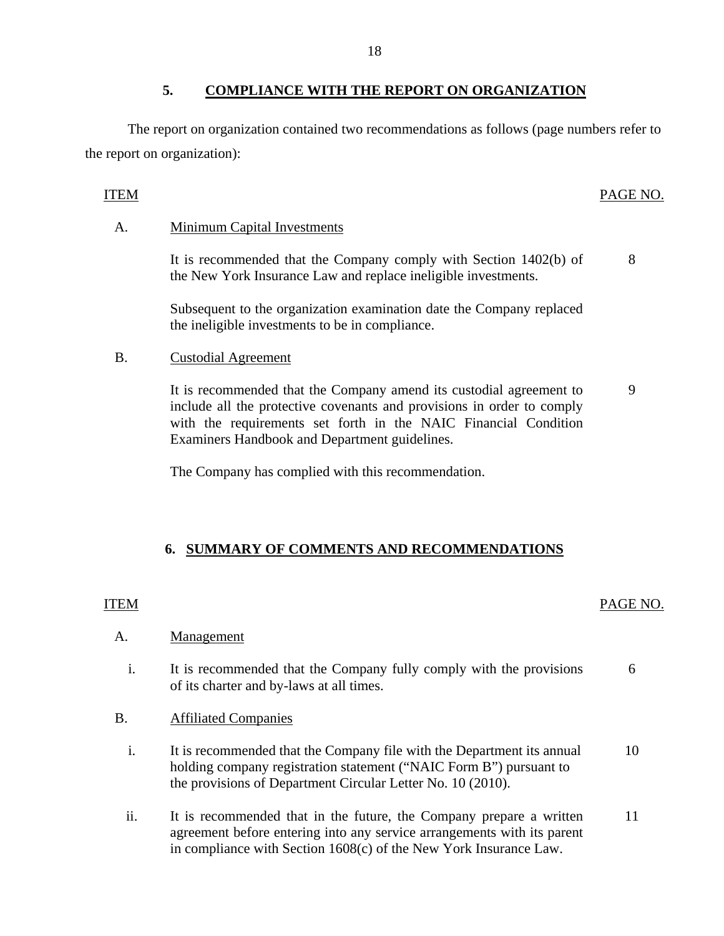## **5. COMPLIANCE WITH THE REPORT ON ORGANIZATION**

The report on organization contained two recommendations as follows (page numbers refer to the report on organization):

## ITEM PAGE NO.

6

## A. Minimum Capital Investments

It is recommended that the Company comply with Section 1402(b) of the New York Insurance Law and replace ineligible investments. 8

Subsequent to the organization examination date the Company replaced the ineligible investments to be in compliance.

## B. Custodial Agreement

It is recommended that the Company amend its custodial agreement to include all the protective covenants and provisions in order to comply with the requirements set forth in the NAIC Financial Condition Examiners Handbook and Department guidelines. 9

The Company has complied with this recommendation.

## **6. SUMMARY OF COMMENTS AND RECOMMENDATIONS**

## ITEM PAGE NO.

## A. Management

i. It is recommended that the Company fully comply with the provisions of its charter and by-laws at all times.

## B. Affiliated Companies

- i. It is recommended that the Company file with the Department its annual 10 holding company registration statement ("NAIC Form B") pursuant to the provisions of Department Circular Letter No. 10 (2010).
- ii. It is recommended that in the future, the Company prepare a written 11 agreement before entering into any service arrangements with its parent in compliance with Section 1608(c) of the New York Insurance Law.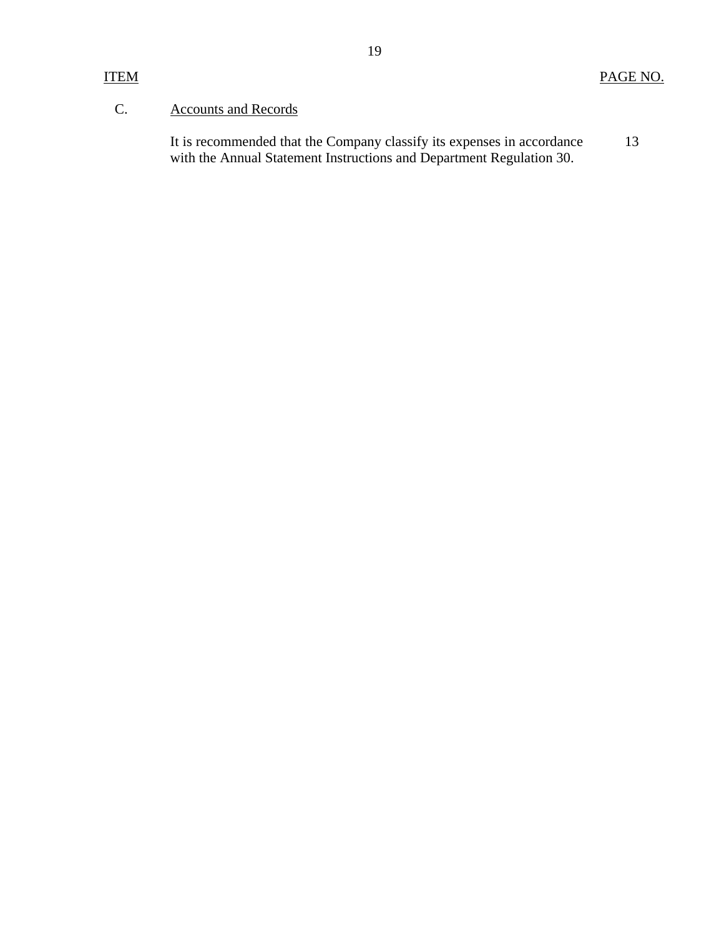## C. Accounts and Records

It is recommended that the Company classify its expenses in accordance with the Annual Statement Instructions and Department Regulation 30. 13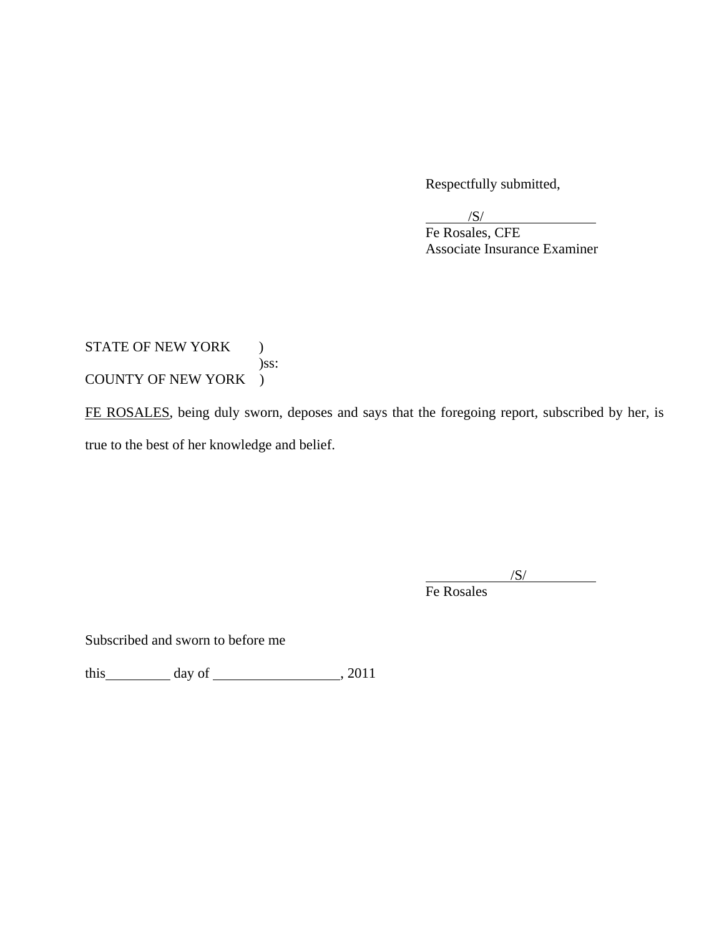Respectfully submitted,

 $/ S/$ 

 Fe Rosales, CFE Associate Insurance Examiner

STATE OF NEW YORK ) )ss: COUNTY OF NEW YORK )

FE ROSALES, being duly sworn, deposes and says that the foregoing report, subscribed by her, is true to the best of her knowledge and belief.

 $\sqrt{S}$ /

Fe Rosales

Subscribed and sworn to before me

this  $\qquad \qquad$  day of  $\qquad \qquad$  , 2011